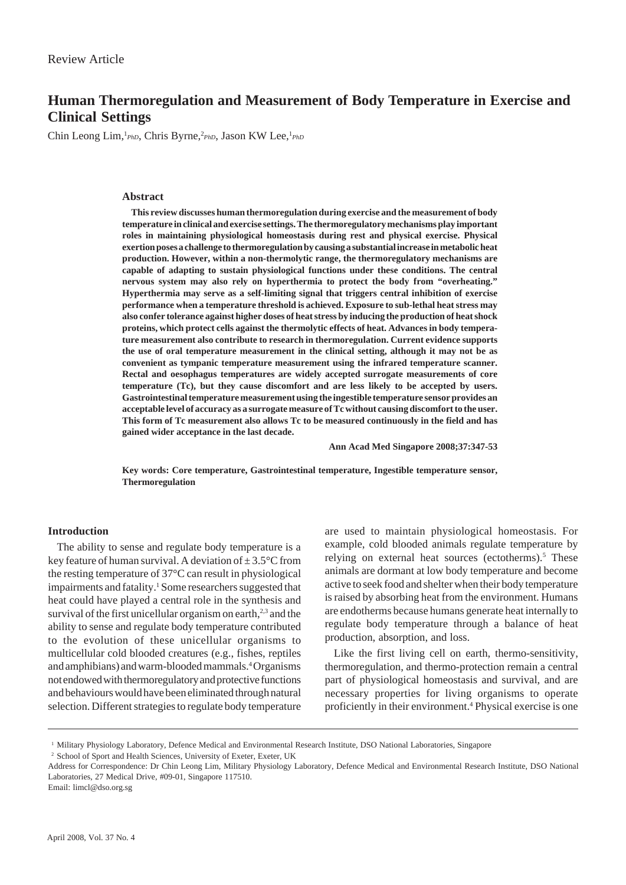# **Human Thermoregulation and Measurement of Body Temperature in Exercise and Clinical Settings**

Chin Leong Lim,<sup>1</sup>PhD</sub>, Chris Byrne,<sup>2</sup>PhD, Jason KW Lee,<sup>1</sup>PhD

#### **Abstract**

**This review discusses human thermoregulation during exercise and the measurement of body temperature in clinical and exercise settings. The thermoregulatory mechanisms play important roles in maintaining physiological homeostasis during rest and physical exercise. Physical exertion poses a challenge to thermoregulation by causing a substantial increase in metabolic heat production. However, within a non-thermolytic range, the thermoregulatory mechanisms are capable of adapting to sustain physiological functions under these conditions. The central nervous system may also rely on hyperthermia to protect the body from "overheating." Hyperthermia may serve as a self-limiting signal that triggers central inhibition of exercise performance when a temperature threshold is achieved. Exposure to sub-lethal heat stress may also confer tolerance against higher doses of heat stress by inducing the production of heat shock proteins, which protect cells against the thermolytic effects of heat. Advances in body temperature measurement also contribute to research in thermoregulation. Current evidence supports the use of oral temperature measurement in the clinical setting, although it may not be as convenient as tympanic temperature measurement using the infrared temperature scanner. Rectal and oesophagus temperatures are widely accepted surrogate measurements of core temperature (Tc), but they cause discomfort and are less likely to be accepted by users. Gastrointestinal temperature measurement using the ingestible temperature sensor provides an acceptable level of accuracy as a surrogate measure of Tc without causing discomfort to the user. This form of Tc measurement also allows Tc to be measured continuously in the field and has gained wider acceptance in the last decade.**

**Ann Acad Med Singapore 2008;37:347-53**

**Key words: Core temperature, Gastrointestinal temperature, Ingestible temperature sensor, Thermoregulation**

## **Introduction**

The ability to sense and regulate body temperature is a key feature of human survival. A deviation of  $\pm 3.5^{\circ}$ C from the resting temperature of 37°C can result in physiological impairments and fatality.<sup>1</sup> Some researchers suggested that heat could have played a central role in the synthesis and survival of the first unicellular organism on earth, $2,3$  and the ability to sense and regulate body temperature contributed to the evolution of these unicellular organisms to multicellular cold blooded creatures (e.g., fishes, reptiles and amphibians) and warm-blooded mammals.4 Organisms not endowed with thermoregulatory and protective functions and behaviours would have been eliminated through natural selection. Different strategies to regulate body temperature

are used to maintain physiological homeostasis. For example, cold blooded animals regulate temperature by relying on external heat sources (ectotherms).<sup>5</sup> These animals are dormant at low body temperature and become active to seek food and shelter when their body temperature is raised by absorbing heat from the environment. Humans are endotherms because humans generate heat internally to regulate body temperature through a balance of heat production, absorption, and loss.

Like the first living cell on earth, thermo-sensitivity, thermoregulation, and thermo-protection remain a central part of physiological homeostasis and survival, and are necessary properties for living organisms to operate proficiently in their environment.4 Physical exercise is one

Email: limcl@dso.org.sg

<sup>&</sup>lt;sup>1</sup> Military Physiology Laboratory, Defence Medical and Environmental Research Institute, DSO National Laboratories, Singapore

<sup>2</sup> School of Sport and Health Sciences, University of Exeter, Exeter, UK

Address for Correspondence: Dr Chin Leong Lim, Military Physiology Laboratory, Defence Medical and Environmental Research Institute, DSO National Laboratories, 27 Medical Drive, #09-01, Singapore 117510.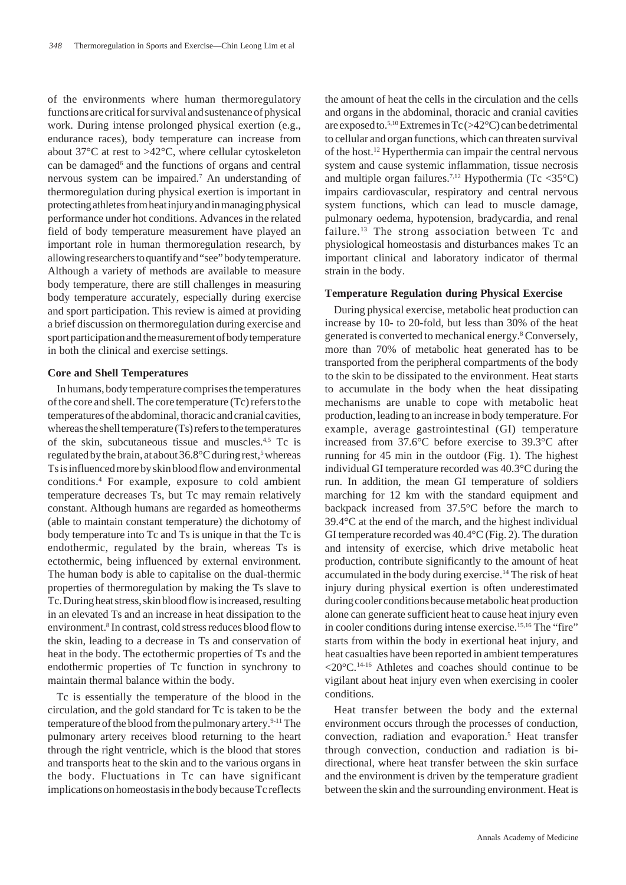of the environments where human thermoregulatory functions are critical for survival and sustenance of physical work. During intense prolonged physical exertion (e.g., endurance races), body temperature can increase from about 37°C at rest to >42°C, where cellular cytoskeleton can be damaged<sup>6</sup> and the functions of organs and central nervous system can be impaired.7 An understanding of thermoregulation during physical exertion is important in protecting athletes from heat injury and in managing physical performance under hot conditions. Advances in the related field of body temperature measurement have played an important role in human thermoregulation research, by allowing researchers to quantify and "see" body temperature. Although a variety of methods are available to measure body temperature, there are still challenges in measuring body temperature accurately, especially during exercise and sport participation. This review is aimed at providing a brief discussion on thermoregulation during exercise and sport participation and the measurement of body temperature in both the clinical and exercise settings.

#### **Core and Shell Temperatures**

In humans, body temperature comprises the temperatures of the core and shell. The core temperature (Tc) refers to the temperatures of the abdominal, thoracic and cranial cavities, whereas the shell temperature (Ts) refers to the temperatures of the skin, subcutaneous tissue and muscles.4,5 Tc is regulated by the brain, at about 36.8°C during rest,<sup>5</sup> whereas Ts is influenced more by skin blood flow and environmental conditions.4 For example, exposure to cold ambient temperature decreases Ts, but Tc may remain relatively constant. Although humans are regarded as homeotherms (able to maintain constant temperature) the dichotomy of body temperature into Tc and Ts is unique in that the Tc is endothermic, regulated by the brain, whereas Ts is ectothermic, being influenced by external environment. The human body is able to capitalise on the dual-thermic properties of thermoregulation by making the Ts slave to Tc. During heat stress, skin blood flow is increased, resulting in an elevated Ts and an increase in heat dissipation to the environment.<sup>8</sup> In contrast, cold stress reduces blood flow to the skin, leading to a decrease in Ts and conservation of heat in the body. The ectothermic properties of Ts and the endothermic properties of Tc function in synchrony to maintain thermal balance within the body.

Tc is essentially the temperature of the blood in the circulation, and the gold standard for Tc is taken to be the temperature of the blood from the pulmonary artery.<sup>9-11</sup> The pulmonary artery receives blood returning to the heart through the right ventricle, which is the blood that stores and transports heat to the skin and to the various organs in the body. Fluctuations in Tc can have significant implications on homeostasis in the body because Tc reflects

the amount of heat the cells in the circulation and the cells and organs in the abdominal, thoracic and cranial cavities are exposed to.5,10 Extremes in Tc (>42°C) can be detrimental to cellular and organ functions, which can threaten survival of the host.12 Hyperthermia can impair the central nervous system and cause systemic inflammation, tissue necrosis and multiple organ failures.<sup>7,12</sup> Hypothermia (Tc <35 $^{\circ}$ C) impairs cardiovascular, respiratory and central nervous system functions, which can lead to muscle damage, pulmonary oedema, hypotension, bradycardia, and renal failure.<sup>13</sup> The strong association between Tc and physiological homeostasis and disturbances makes Tc an important clinical and laboratory indicator of thermal strain in the body.

## **Temperature Regulation during Physical Exercise**

During physical exercise, metabolic heat production can increase by 10- to 20-fold, but less than 30% of the heat generated is converted to mechanical energy.8 Conversely, more than 70% of metabolic heat generated has to be transported from the peripheral compartments of the body to the skin to be dissipated to the environment. Heat starts to accumulate in the body when the heat dissipating mechanisms are unable to cope with metabolic heat production, leading to an increase in body temperature. For example, average gastrointestinal (GI) temperature increased from 37.6°C before exercise to 39.3°C after running for 45 min in the outdoor (Fig. 1). The highest individual GI temperature recorded was 40.3°C during the run. In addition, the mean GI temperature of soldiers marching for 12 km with the standard equipment and backpack increased from 37.5°C before the march to 39.4°C at the end of the march, and the highest individual GI temperature recorded was 40.4°C (Fig. 2). The duration and intensity of exercise, which drive metabolic heat production, contribute significantly to the amount of heat accumulated in the body during exercise.14 The risk of heat injury during physical exertion is often underestimated during cooler conditions because metabolic heat production alone can generate sufficient heat to cause heat injury even in cooler conditions during intense exercise.<sup>15,16</sup> The "fire" starts from within the body in exertional heat injury, and heat casualties have been reported in ambient temperatures  $\langle 20^{\circ}$ C.<sup>14-16</sup> Athletes and coaches should continue to be vigilant about heat injury even when exercising in cooler conditions.

Heat transfer between the body and the external environment occurs through the processes of conduction, convection, radiation and evaporation.<sup>5</sup> Heat transfer through convection, conduction and radiation is bidirectional, where heat transfer between the skin surface and the environment is driven by the temperature gradient between the skin and the surrounding environment. Heat is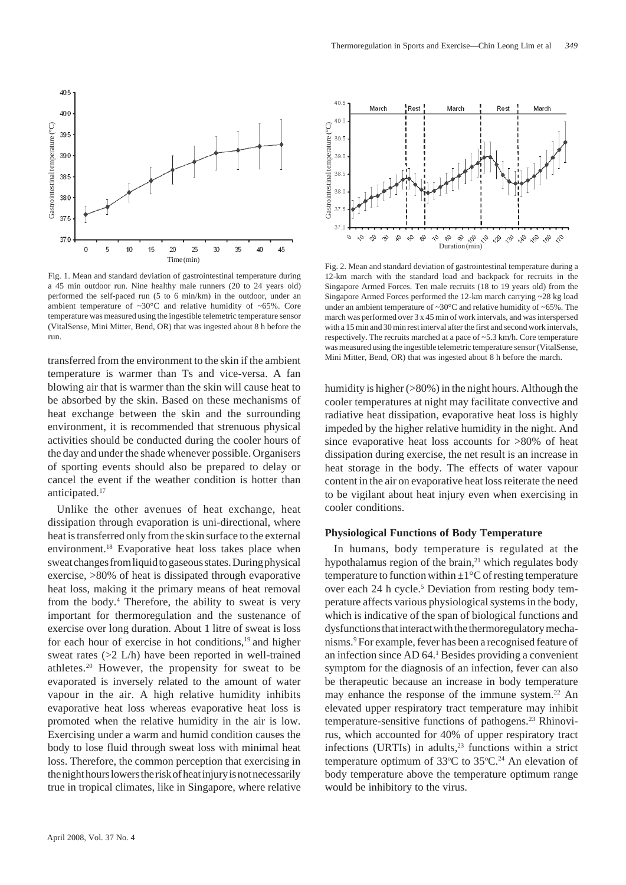

Fig. 1. Mean and standard deviation of gastrointestinal temperature during a 45 min outdoor run. Nine healthy male runners (20 to 24 years old) performed the self-paced run (5 to 6 min/km) in the outdoor, under an ambient temperature of  $\sim 30^{\circ}$ C and relative humidity of  $\sim 65\%$ . Core temperature was measured using the ingestible telemetric temperature sensor (VitalSense, Mini Mitter, Bend, OR) that was ingested about 8 h before the run.

transferred from the environment to the skin if the ambient temperature is warmer than Ts and vice-versa. A fan blowing air that is warmer than the skin will cause heat to be absorbed by the skin. Based on these mechanisms of heat exchange between the skin and the surrounding environment, it is recommended that strenuous physical activities should be conducted during the cooler hours of the day and under the shade whenever possible. Organisers of sporting events should also be prepared to delay or cancel the event if the weather condition is hotter than anticipated.<sup>17</sup>

Unlike the other avenues of heat exchange, heat dissipation through evaporation is uni-directional, where heat is transferred only from the skin surface to the external environment.18 Evaporative heat loss takes place when sweat changes from liquid to gaseous states. During physical exercise, >80% of heat is dissipated through evaporative heat loss, making it the primary means of heat removal from the body.<sup>4</sup> Therefore, the ability to sweat is very important for thermoregulation and the sustenance of exercise over long duration. About 1 litre of sweat is loss for each hour of exercise in hot conditions,<sup>19</sup> and higher sweat rates (>2 L/h) have been reported in well-trained athletes.20 However, the propensity for sweat to be evaporated is inversely related to the amount of water vapour in the air. A high relative humidity inhibits evaporative heat loss whereas evaporative heat loss is promoted when the relative humidity in the air is low. Exercising under a warm and humid condition causes the body to lose fluid through sweat loss with minimal heat loss. Therefore, the common perception that exercising in the night hours lowers the risk of heat injury is not necessarily true in tropical climates, like in Singapore, where relative



Fig. 2. Mean and standard deviation of gastrointestinal temperature during a 12-km march with the standard load and backpack for recruits in the Singapore Armed Forces. Ten male recruits (18 to 19 years old) from the Singapore Armed Forces performed the 12-km march carrying ~28 kg load under an ambient temperature of  $\sim 30^{\circ}$ C and relative humidity of  $\sim 65\%$ . The march was performed over 3 x 45 min of work intervals, and was interspersed with a 15 min and 30 min rest interval after the first and second work intervals, respectively. The recruits marched at a pace of ~5.3 km/h. Core temperature was measured using the ingestible telemetric temperature sensor (VitalSense, Mini Mitter, Bend, OR) that was ingested about 8 h before the march.

humidity is higher ( $>80\%$ ) in the night hours. Although the cooler temperatures at night may facilitate convective and radiative heat dissipation, evaporative heat loss is highly impeded by the higher relative humidity in the night. And since evaporative heat loss accounts for >80% of heat dissipation during exercise, the net result is an increase in heat storage in the body. The effects of water vapour content in the air on evaporative heat loss reiterate the need to be vigilant about heat injury even when exercising in cooler conditions.

#### **Physiological Functions of Body Temperature**

In humans, body temperature is regulated at the hypothalamus region of the brain, $2<sup>1</sup>$  which regulates body temperature to function within  $\pm 1^{\circ}$ C of resting temperature over each 24 h cycle.<sup>5</sup> Deviation from resting body temperature affects various physiological systems in the body, which is indicative of the span of biological functions and dysfunctions that interact with the thermoregulatory mechanisms.9 For example, fever has been a recognised feature of an infection since AD 64.<sup>1</sup> Besides providing a convenient symptom for the diagnosis of an infection, fever can also be therapeutic because an increase in body temperature may enhance the response of the immune system.<sup>22</sup> An elevated upper respiratory tract temperature may inhibit temperature-sensitive functions of pathogens.<sup>23</sup> Rhinovirus, which accounted for 40% of upper respiratory tract infections (URTIs) in adults, $23$  functions within a strict temperature optimum of  $33^{\circ}$ C to  $35^{\circ}$ C.<sup>24</sup> An elevation of body temperature above the temperature optimum range would be inhibitory to the virus.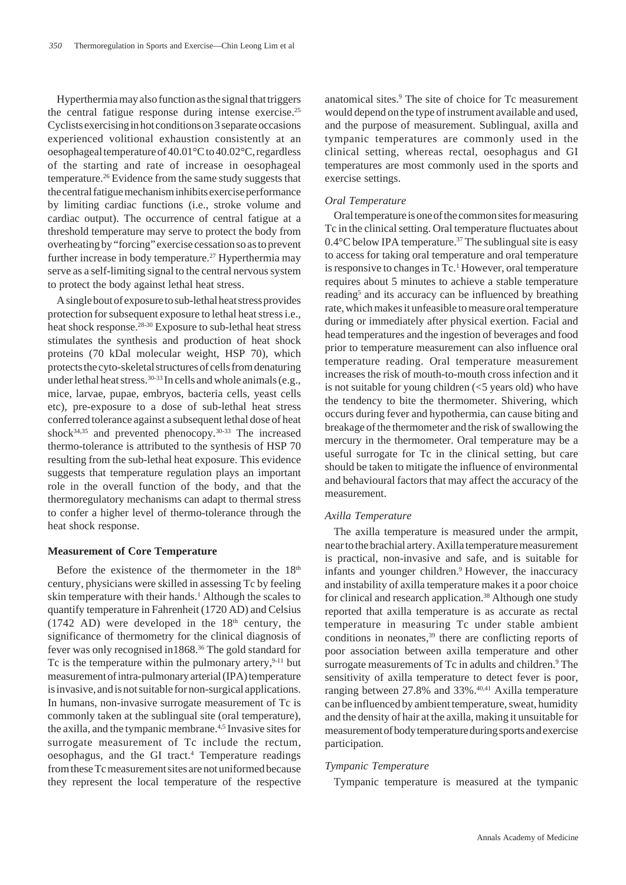Hyperthermia may also function as the signal that triggers the central fatigue response during intense exercise.25 Cyclists exercising in hot conditions on 3 separate occasions experienced volitional exhaustion consistently at an oesophageal temperature of 40.01°C to 40.02°C, regardless of the starting and rate of increase in oesophageal temperature.26 Evidence from the same study suggests that the central fatigue mechanism inhibits exercise performance by limiting cardiac functions (i.e., stroke volume and cardiac output). The occurrence of central fatigue at a threshold temperature may serve to protect the body from overheating by "forcing" exercise cessation so as to prevent further increase in body temperature.<sup>27</sup> Hyperthermia may serve as a self-limiting signal to the central nervous system to protect the body against lethal heat stress.

A single bout of exposure to sub-lethal heat stress provides protection for subsequent exposure to lethal heat stress i.e., heat shock response.<sup>28-30</sup> Exposure to sub-lethal heat stress stimulates the synthesis and production of heat shock proteins (70 kDal molecular weight, HSP 70), which protects the cyto-skeletal structures of cells from denaturing under lethal heat stress.<sup>30-33</sup> In cells and whole animals (e.g., mice, larvae, pupae, embryos, bacteria cells, yeast cells etc), pre-exposure to a dose of sub-lethal heat stress conferred tolerance against a subsequent lethal dose of heat shock $34,35$  and prevented phenocopy.  $30-33$  The increased thermo-tolerance is attributed to the synthesis of HSP 70 resulting from the sub-lethal heat exposure. This evidence suggests that temperature regulation plays an important role in the overall function of the body, and that the thermoregulatory mechanisms can adapt to thermal stress to confer a higher level of thermo-tolerance through the heat shock response.

#### **Measurement of Core Temperature**

Before the existence of the thermometer in the  $18<sup>th</sup>$ century, physicians were skilled in assessing Tc by feeling skin temperature with their hands.<sup>1</sup> Although the scales to quantify temperature in Fahrenheit (1720 AD) and Celsius (1742 AD) were developed in the  $18<sup>th</sup>$  century, the significance of thermometry for the clinical diagnosis of fever was only recognised in1868.36 The gold standard for Tc is the temperature within the pulmonary artery,  $9-11$  but measurement of intra-pulmonary arterial (IPA) temperature is invasive, and is not suitable for non-surgical applications. In humans, non-invasive surrogate measurement of Tc is commonly taken at the sublingual site (oral temperature), the axilla, and the tympanic membrane.<sup>4,5</sup> Invasive sites for surrogate measurement of Tc include the rectum, oesophagus, and the GI tract.<sup>4</sup> Temperature readings from these Tc measurement sites are not uniformed because they represent the local temperature of the respective

anatomical sites.9 The site of choice for Tc measurement would depend on the type of instrument available and used, and the purpose of measurement. Sublingual, axilla and tympanic temperatures are commonly used in the clinical setting, whereas rectal, oesophagus and GI temperatures are most commonly used in the sports and exercise settings.

#### *Oral Temperature*

Oral temperature is one of the common sites for measuring Tc in the clinical setting. Oral temperature fluctuates about 0.4°C below IPA temperature.<sup>37</sup> The sublingual site is easy to access for taking oral temperature and oral temperature is responsive to changes in Tc.<sup>1</sup> However, oral temperature requires about 5 minutes to achieve a stable temperature reading<sup>5</sup> and its accuracy can be influenced by breathing rate, which makes it unfeasible to measure oral temperature during or immediately after physical exertion. Facial and head temperatures and the ingestion of beverages and food prior to temperature measurement can also influence oral temperature reading. Oral temperature measurement increases the risk of mouth-to-mouth cross infection and it is not suitable for young children  $\leq$  years old) who have the tendency to bite the thermometer. Shivering, which occurs during fever and hypothermia, can cause biting and breakage of the thermometer and the risk of swallowing the mercury in the thermometer. Oral temperature may be a useful surrogate for Tc in the clinical setting, but care should be taken to mitigate the influence of environmental and behavioural factors that may affect the accuracy of the measurement.

#### *Axilla Temperature*

The axilla temperature is measured under the armpit, near to the brachial artery. Axilla temperature measurement is practical, non-invasive and safe, and is suitable for infants and younger children.<sup>9</sup> However, the inaccuracy and instability of axilla temperature makes it a poor choice for clinical and research application.<sup>38</sup> Although one study reported that axilla temperature is as accurate as rectal temperature in measuring Tc under stable ambient conditions in neonates,<sup>39</sup> there are conflicting reports of poor association between axilla temperature and other surrogate measurements of Tc in adults and children.<sup>9</sup> The sensitivity of axilla temperature to detect fever is poor, ranging between 27.8% and 33%.<sup>40,41</sup> Axilla temperature can be influenced by ambient temperature, sweat, humidity and the density of hair at the axilla, making it unsuitable for measurement of body temperature during sports and exercise participation.

### *Tympanic Temperature*

Tympanic temperature is measured at the tympanic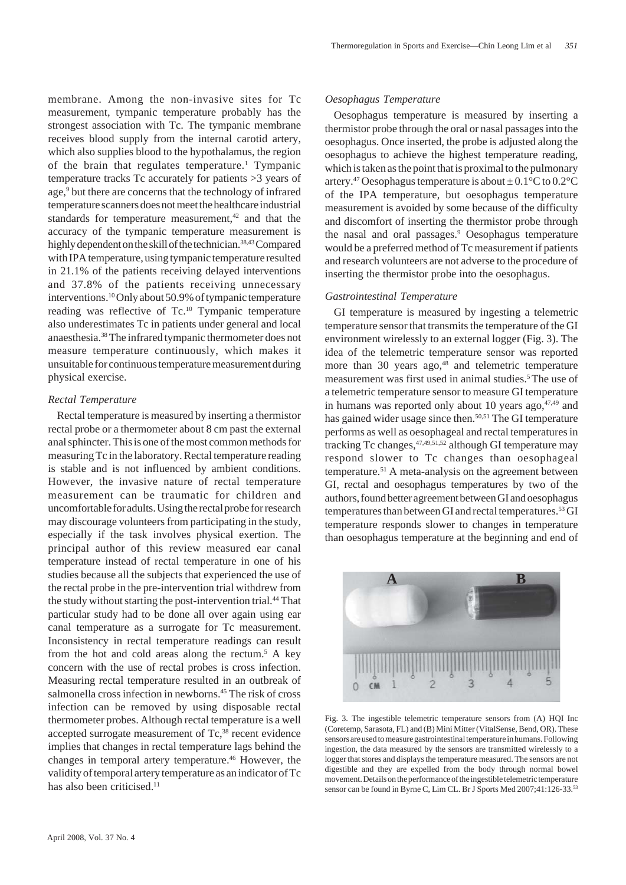membrane. Among the non-invasive sites for Tc measurement, tympanic temperature probably has the strongest association with Tc. The tympanic membrane receives blood supply from the internal carotid artery, which also supplies blood to the hypothalamus, the region of the brain that regulates temperature.<sup>1</sup> Tympanic temperature tracks Tc accurately for patients >3 years of age,<sup>9</sup> but there are concerns that the technology of infrared temperature scanners does not meet the healthcare industrial standards for temperature measurement,<sup>42</sup> and that the accuracy of the tympanic temperature measurement is highly dependent on the skill of the technician.<sup>38,43</sup> Compared with IPA temperature, using tympanic temperature resulted in 21.1% of the patients receiving delayed interventions and 37.8% of the patients receiving unnecessary interventions.10 Only about 50.9% of tympanic temperature reading was reflective of Tc.10 Tympanic temperature also underestimates Tc in patients under general and local anaesthesia.38 The infrared tympanic thermometer does not

measure temperature continuously, which makes it unsuitable for continuous temperature measurement during physical exercise.

## *Rectal Temperature*

Rectal temperature is measured by inserting a thermistor rectal probe or a thermometer about 8 cm past the external anal sphincter. This is one of the most common methods for measuring Tc in the laboratory. Rectal temperature reading is stable and is not influenced by ambient conditions. However, the invasive nature of rectal temperature measurement can be traumatic for children and uncomfortable for adults. Using the rectal probe for research may discourage volunteers from participating in the study, especially if the task involves physical exertion. The principal author of this review measured ear canal temperature instead of rectal temperature in one of his studies because all the subjects that experienced the use of the rectal probe in the pre-intervention trial withdrew from the study without starting the post-intervention trial.<sup>44</sup> That particular study had to be done all over again using ear canal temperature as a surrogate for Tc measurement. Inconsistency in rectal temperature readings can result from the hot and cold areas along the rectum.<sup>5</sup> A key concern with the use of rectal probes is cross infection. Measuring rectal temperature resulted in an outbreak of salmonella cross infection in newborns.<sup>45</sup> The risk of cross infection can be removed by using disposable rectal thermometer probes. Although rectal temperature is a well accepted surrogate measurement of Tc,<sup>38</sup> recent evidence implies that changes in rectal temperature lags behind the changes in temporal artery temperature.<sup>46</sup> However, the validity of temporal artery temperature as an indicator of Tc has also been criticised.<sup>11</sup>

# *Oesophagus Temperature*

Oesophagus temperature is measured by inserting a thermistor probe through the oral or nasal passages into the oesophagus. Once inserted, the probe is adjusted along the oesophagus to achieve the highest temperature reading, which is taken as the point that is proximal to the pulmonary artery.<sup>47</sup> Oesophagus temperature is about  $\pm 0.1^{\circ}$ C to  $0.2^{\circ}$ C of the IPA temperature, but oesophagus temperature measurement is avoided by some because of the difficulty and discomfort of inserting the thermistor probe through the nasal and oral passages.<sup>9</sup> Oesophagus temperature would be a preferred method of Tc measurement if patients and research volunteers are not adverse to the procedure of inserting the thermistor probe into the oesophagus.

# *Gastrointestinal Temperature*

GI temperature is measured by ingesting a telemetric temperature sensor that transmits the temperature of the GI environment wirelessly to an external logger (Fig. 3). The idea of the telemetric temperature sensor was reported more than 30 years ago, $48$  and telemetric temperature measurement was first used in animal studies.<sup>5</sup> The use of a telemetric temperature sensor to measure GI temperature in humans was reported only about 10 years ago, $47,49$  and has gained wider usage since then.<sup>50,51</sup> The GI temperature performs as well as oesophageal and rectal temperatures in tracking Tc changes, <sup>47,49,51,52</sup> although GI temperature may respond slower to Tc changes than oesophageal temperature.51 A meta-analysis on the agreement between GI, rectal and oesophagus temperatures by two of the authors, found better agreement between GI and oesophagus temperatures than between GI and rectal temperatures.<sup>53</sup> GI temperature responds slower to changes in temperature than oesophagus temperature at the beginning and end of



Fig. 3. The ingestible telemetric temperature sensors from (A) HQI Inc (Coretemp, Sarasota, FL) and (B) Mini Mitter (VitalSense, Bend, OR). These sensors are used to measure gastrointestinal temperature in humans. Following ingestion, the data measured by the sensors are transmitted wirelessly to a logger that stores and displays the temperature measured. The sensors are not digestible and they are expelled from the body through normal bowel movement. Details on the performance of the ingestible telemetric temperature sensor can be found in Byrne C, Lim CL. Br J Sports Med 2007;41:126-33.<sup>53</sup>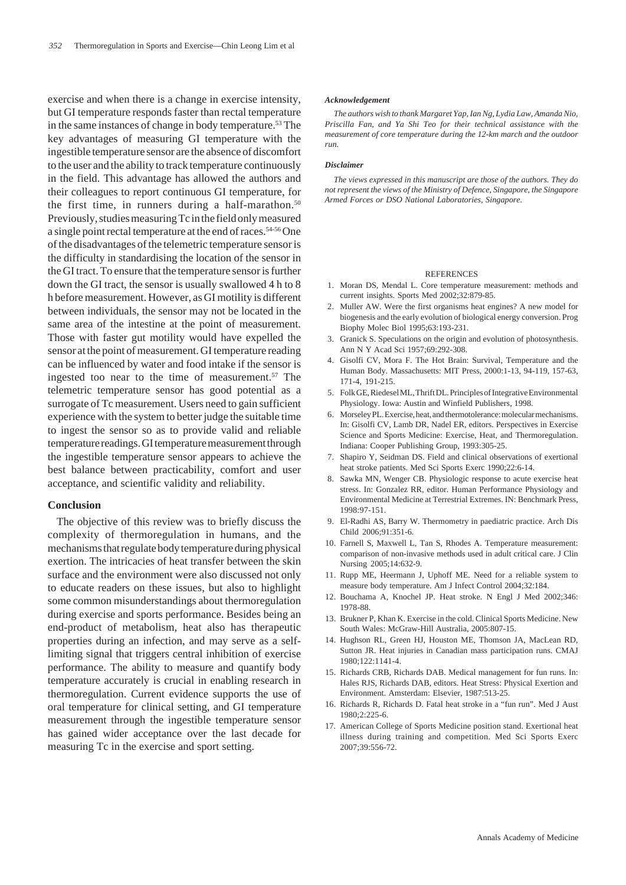exercise and when there is a change in exercise intensity, but GI temperature responds faster than rectal temperature in the same instances of change in body temperature.<sup>53</sup> The key advantages of measuring GI temperature with the ingestible temperature sensor are the absence of discomfort to the user and the ability to track temperature continuously in the field. This advantage has allowed the authors and their colleagues to report continuous GI temperature, for the first time, in runners during a half-marathon. $50$ Previously, studies measuring Tc in the field only measured a single point rectal temperature at the end of races.54-56 One of the disadvantages of the telemetric temperature sensor is the difficulty in standardising the location of the sensor in the GI tract. To ensure that the temperature sensor is further down the GI tract, the sensor is usually swallowed 4 h to 8 h before measurement. However, as GI motility is different between individuals, the sensor may not be located in the same area of the intestine at the point of measurement. Those with faster gut motility would have expelled the sensor at the point of measurement. GI temperature reading can be influenced by water and food intake if the sensor is ingested too near to the time of measurement. $57$  The telemetric temperature sensor has good potential as a surrogate of Tc measurement. Users need to gain sufficient experience with the system to better judge the suitable time to ingest the sensor so as to provide valid and reliable temperature readings. GI temperature measurement through the ingestible temperature sensor appears to achieve the best balance between practicability, comfort and user acceptance, and scientific validity and reliability.

## **Conclusion**

The objective of this review was to briefly discuss the complexity of thermoregulation in humans, and the mechanisms that regulate body temperature during physical exertion. The intricacies of heat transfer between the skin surface and the environment were also discussed not only to educate readers on these issues, but also to highlight some common misunderstandings about thermoregulation during exercise and sports performance. Besides being an end-product of metabolism, heat also has therapeutic properties during an infection, and may serve as a selflimiting signal that triggers central inhibition of exercise performance. The ability to measure and quantify body temperature accurately is crucial in enabling research in thermoregulation. Current evidence supports the use of oral temperature for clinical setting, and GI temperature measurement through the ingestible temperature sensor has gained wider acceptance over the last decade for measuring Tc in the exercise and sport setting.

#### *Acknowledgement*

*The authors wish to thank Margaret Yap, Ian Ng, Lydia Law, Amanda Nio, Priscilla Fan, and Ya Shi Teo for their technical assistance with the measurement of core temperature during the 12-km march and the outdoor run.*

#### *Disclaimer*

*The views expressed in this manuscript are those of the authors. They do not represent the views of the Ministry of Defence, Singapore, the Singapore Armed Forces or DSO National Laboratories, Singapore.*

#### **REFERENCES**

- 1. Moran DS, Mendal L. Core temperature measurement: methods and current insights. Sports Med 2002;32:879-85.
- 2. Muller AW. Were the first organisms heat engines? A new model for biogenesis and the early evolution of biological energy conversion. Prog Biophy Molec Biol 1995;63:193-231.
- 3. Granick S. Speculations on the origin and evolution of photosynthesis. Ann N Y Acad Sci 1957;69:292-308.
- 4. Gisolfi CV, Mora F. The Hot Brain: Survival, Temperature and the Human Body. Massachusetts: MIT Press, 2000:1-13, 94-119, 157-63, 171-4, 191-215.
- 5. Folk GE, Riedesel ML, Thrift DL. Principles of Integrative Environmental Physiology. Iowa: Austin and Winfield Publishers, 1998.
- 6. Morseley PL. Exercise, heat, and thermotolerance: molecular mechanisms. In: Gisolfi CV, Lamb DR, Nadel ER, editors. Perspectives in Exercise Science and Sports Medicine: Exercise, Heat, and Thermoregulation. Indiana: Cooper Publishing Group, 1993:305-25.
- 7. Shapiro Y, Seidman DS. Field and clinical observations of exertional heat stroke patients. Med Sci Sports Exerc 1990;22:6-14.
- 8. Sawka MN, Wenger CB. Physiologic response to acute exercise heat stress. In: Gonzalez RR, editor. Human Performance Physiology and Environmental Medicine at Terrestrial Extremes. IN: Benchmark Press, 1998:97-151.
- 9. El-Radhi AS, Barry W. Thermometry in paediatric practice. Arch Dis Child 2006;91:351-6.
- 10. Farnell S, Maxwell L, Tan S, Rhodes A. Temperature measurement: comparison of non-invasive methods used in adult critical care. J Clin Nursing 2005;14:632-9.
- 11. Rupp ME, Heermann J, Uphoff ME. Need for a reliable system to measure body temperature. Am J Infect Control 2004;32:184.
- 12. Bouchama A, Knochel JP. Heat stroke. N Engl J Med 2002;346: 1978-88.
- 13. Brukner P, Khan K. Exercise in the cold. Clinical Sports Medicine. New South Wales: McGraw-Hill Australia, 2005:807-15.
- 14. Hughson RL, Green HJ, Houston ME, Thomson JA, MacLean RD, Sutton JR. Heat injuries in Canadian mass participation runs. CMAJ 1980;122:1141-4.
- 15. Richards CRB, Richards DAB. Medical management for fun runs. In: Hales RJS, Richards DAB, editors. Heat Stress: Physical Exertion and Environment. Amsterdam: Elsevier, 1987:513-25.
- 16. Richards R, Richards D. Fatal heat stroke in a "fun run". Med J Aust 1980;2:225-6.
- 17. American College of Sports Medicine position stand. Exertional heat illness during training and competition. Med Sci Sports Exerc 2007;39:556-72.